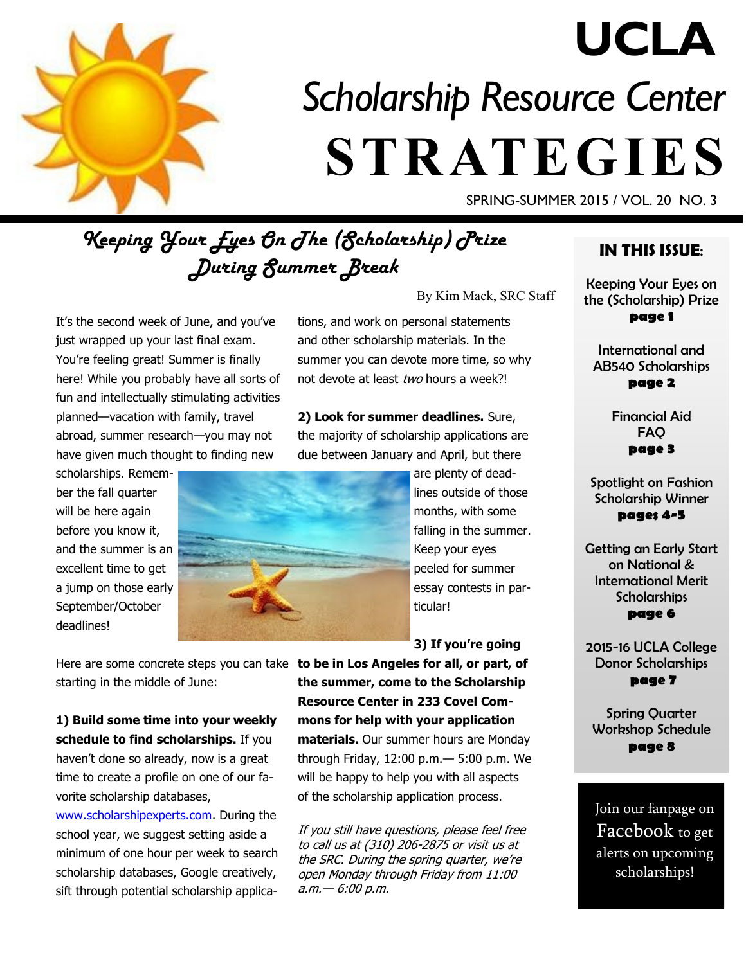

# *Scholarship Resource Center*  **STRATEGIES UCLA**

SPRING-SUMMER 2015 / VOL. 20 NO. 3

# *Keeping Your Eyes On The (Scholarship) Prize During Summer Break*

It's the second week of June, and you've just wrapped up your last final exam. You're feeling great! Summer is finally here! While you probably have all sorts of fun and intellectually stimulating activities planned—vacation with family, travel abroad, summer research—you may not have given much thought to finding new

scholarships. Remember the fall quarter will be here again before you know it, and the summer is an excellent time to get a jump on those early September/October deadlines!

tions, and work on personal statements and other scholarship materials. In the summer you can devote more time, so why not devote at least two hours a week?!

**2) Look for summer deadlines.** Sure, the majority of scholarship applications are due between January and April, but there



are plenty of deadlines outside of those months, with some falling in the summer. Keep your eyes peeled for summer essay contests in particular!

By Kim Mack, SRC Staff

**3) If you're going** 

Here are some concrete steps you can take **to be in Los Angeles for all, or part, of**  starting in the middle of June:

**1) Build some time into your weekly schedule to find scholarships.** If you haven't done so already, now is a great time to create a profile on one of our favorite scholarship databases,

[www.scholarshipexperts.com.](http://www.scholarshipexperts.com) During the school year, we suggest setting aside a minimum of one hour per week to search scholarship databases, Google creatively, sift through potential scholarship applica-

**the summer, come to the Scholarship Resource Center in 233 Covel Commons for help with your application materials.** Our summer hours are Monday through Friday, 12:00 p.m.— 5:00 p.m. We will be happy to help you with all aspects of the scholarship application process.

If you still have questions, please feel free to call us at (310) 206-2875 or visit us at the SRC. During the spring quarter, we're open Monday through Friday from 11:00 a.m.— 6:00 p.m.

#### **IN THIS ISSUE**:

Keeping Your Eyes on the (Scholarship) Prize **page 1**

International and AB540 Scholarships **page 2**

> Financial Aid FAQ **page 3**

Spotlight on Fashion Scholarship Winner **pages 4-5**

Getting an Early Start on National & International Merit **Scholarships page 6**

2015-16 UCLA College Donor Scholarships **page 7**

Spring Quarter Workshop Schedule **page 8**

Join our fanpage on Facebook to get alerts on upcoming scholarships!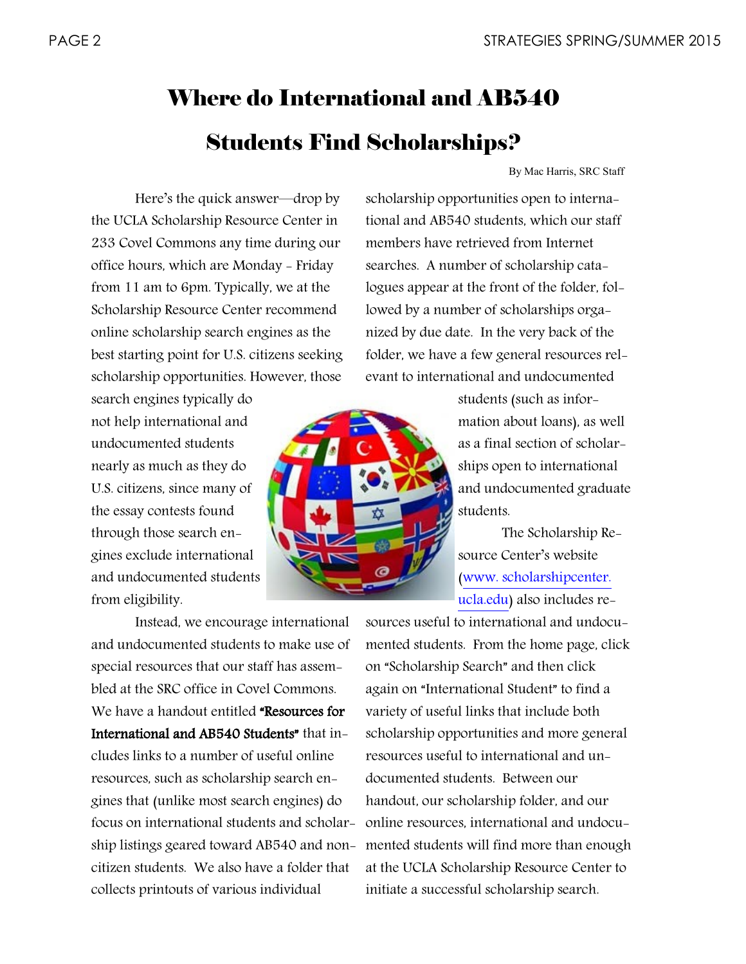# Where do International and AB540 Students Find Scholarships?

By Mac Harris, SRC Staff

Here's the quick answer—drop by the UCLA Scholarship Resource Center in 233 Covel Commons any time during our office hours, which are Monday - Friday from 11 am to 6pm. Typically, we at the Scholarship Resource Center recommend online scholarship search engines as the best starting point for U.S. citizens seeking scholarship opportunities. However, those

search engines typically do not help international and undocumented students nearly as much as they do U.S. citizens, since many of the essay contests found through those search engines exclude international and undocumented students from eligibility.

Instead, we encourage international and undocumented students to make use of special resources that our staff has assembled at the SRC office in Covel Commons. We have a handout entitled "Resources for International and AB540 Students" that includes links to a number of useful online resources, such as scholarship search engines that (unlike most search engines) do focus on international students and scholarship listings geared toward AB540 and noncitizen students. We also have a folder that collects printouts of various individual

scholarship opportunities open to international and AB540 students, which our staff members have retrieved from Internet searches. A number of scholarship catalogues appear at the front of the folder, followed by a number of scholarships organized by due date. In the very back of the folder, we have a few general resources relevant to international and undocumented

> students (such as information about loans), as well as a final section of scholarships open to international and undocumented graduate students.

The Scholarship Resource Center's website ([www. scholarshipcenter.](http://www.scholarshipcenter.ucla.edu)  [ucla.edu\)](http://www.scholarshipcenter.ucla.edu) also includes re-

sources useful to international and undocumented students. From the home page, click on "Scholarship Search" and then click again on "International Student" to find a variety of useful links that include both scholarship opportunities and more general resources useful to international and undocumented students. Between our handout, our scholarship folder, and our online resources, international and undocumented students will find more than enough at the UCLA Scholarship Resource Center to initiate a successful scholarship search.

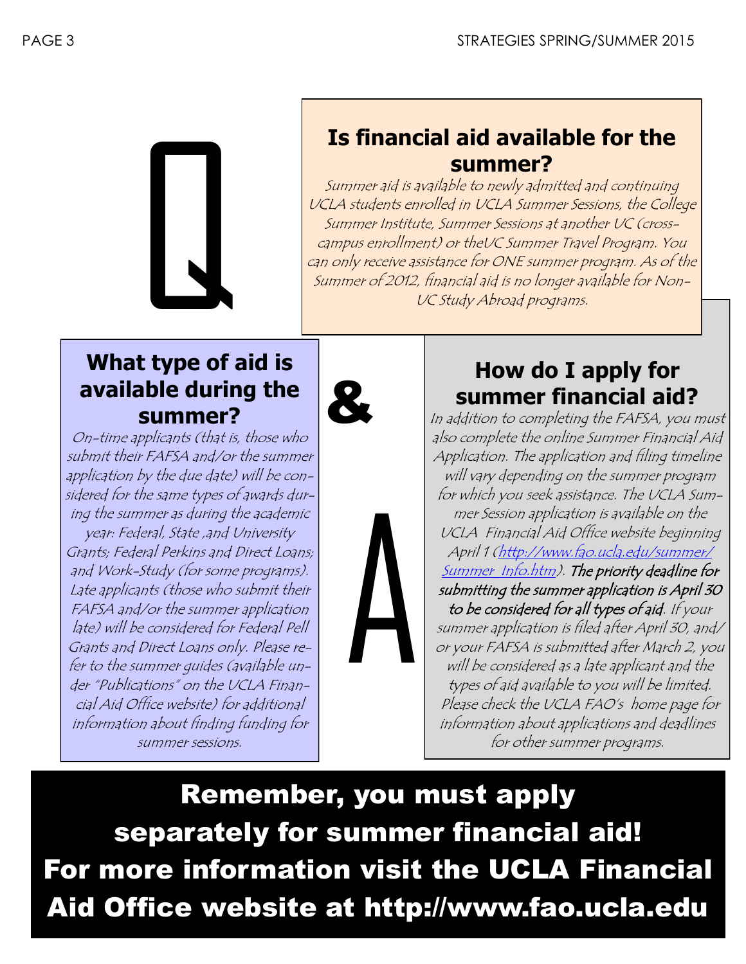

# **Is financial aid available for the summer?**

Summer aid is available to newly admitted and continuing UCLA students enrolled in UCLA Summer Sessions, the College Summer Institute, Summer Sessions at another UC (crosscampus enrollment) or theUC Summer Travel Program. You can only receive assistance for ONE summer program. As of the Summer of 2012, financial aid is no longer available for Non-UC Study Abroad programs.

## **What type of aid is available during the summer?**



plicants (that<br>FAFSA and/c<br>r the due date<br>r same types<br>ner as during<br>ral, State ,and<br>al Perkins and<br>udy (for som<br>ts (those who On-time applicants (that is, those who submit their FAFSA and/or the summer application by the due date) will be considered for the same types of awards during the summer as during the academic year: Federal, State ,and University Grants; Federal Perkins and Direct Loans; and Work-Study (for some programs). Late applicants (those who submit their FAFSA and/or the summer application late) will be considered for Federal Pell Grants and Direct Loans only. Please refer to the summer guides (available under "Publications" on the UCLA Financial Aid Office website) for additional information about finding funding for summer sessions.

# **How do I apply for summer financial aid?**

In addition to completing the FAFSA, you must also complete the online Summer Financial Aid Application. The application and filing timeline will vary depending on the summer program for which you seek assistance. The UCLA Summer Session application is available on the UCLA Financial Aid Office website beginning April 1 (http://www.fao.ucla.edu/summer/ Summer Info.htm). The priority deadline for submitting the summer application is April 30 to be considered for all types of aid. If your summer application is filed after April 30, and/ or your FAFSA is submitted after March 2, you will be considered as a late applicant and the types of aid available to you will be limited. Please check the UCLA FAO's home page for information about applications and deadlines for other summer programs.

Remember, you must apply separately for summer financial aid! For more information visit the UCLA Financial Aid Office website at http://www.fao.ucla.edu

A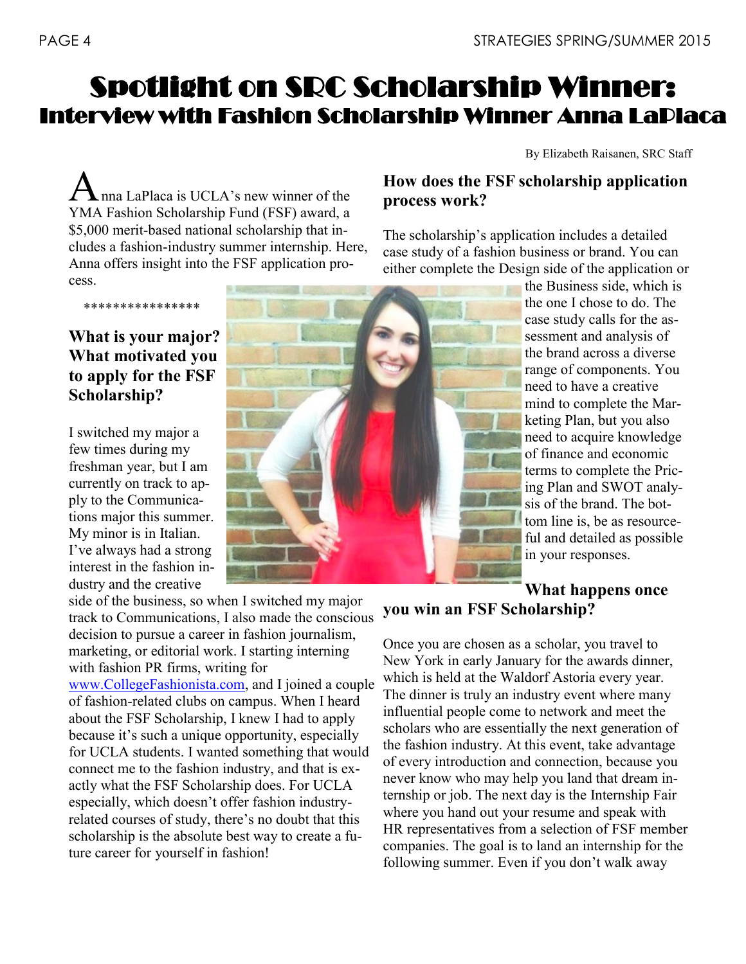# Spotlight on SRC Scholarship Winner: Interview with Fashion Scholarship Winner Anna LaPlaca

By Elizabeth Raisanen, SRC Staff

Anna LaPlaca is UCLA's new winner of the YMA Fashion Scholarship Fund (FSF) award, a \$5,000 merit-based national scholarship that includes a fashion-industry summer internship. Here, Anna offers insight into the FSF application process.

### **What is your major? What motivated you to apply for the FSF Scholarship?**

\*\*\*\*\*\*\*\*\*\*\*\*\*\*\*\*

I switched my major a few times during my freshman year, but I am currently on track to apply to the Communications major this summer. My minor is in Italian. I've always had a strong interest in the fashion industry and the creative

side of the business, so when I switched my major track to Communications, I also made the conscious decision to pursue a career in fashion journalism, marketing, or editorial work. I starting interning with fashion PR firms, writing for [www.CollegeFashionista.com,](http://www.CollegeFashionista.com) and I joined a couple

of fashion-related clubs on campus. When I heard about the FSF Scholarship, I knew I had to apply because it's such a unique opportunity, especially for UCLA students. I wanted something that would connect me to the fashion industry, and that is exactly what the FSF Scholarship does. For UCLA especially, which doesn't offer fashion industryrelated courses of study, there's no doubt that this scholarship is the absolute best way to create a future career for yourself in fashion!



### **How does the FSF scholarship application process work?**

The scholarship's application includes a detailed case study of a fashion business or brand. You can either complete the Design side of the application or

> the Business side, which is the one I chose to do. The case study calls for the assessment and analysis of the brand across a diverse range of components. You need to have a creative mind to complete the Marketing Plan, but you also need to acquire knowledge of finance and economic terms to complete the Pricing Plan and SWOT analysis of the brand. The bottom line is, be as resourceful and detailed as possible in your responses.

### **What happens once you win an FSF Scholarship?**

Once you are chosen as a scholar, you travel to New York in early January for the awards dinner, which is held at the Waldorf Astoria every year. The dinner is truly an industry event where many influential people come to network and meet the scholars who are essentially the next generation of the fashion industry. At this event, take advantage of every introduction and connection, because you never know who may help you land that dream internship or job. The next day is the Internship Fair where you hand out your resume and speak with HR representatives from a selection of FSF member companies. The goal is to land an internship for the following summer. Even if you don't walk away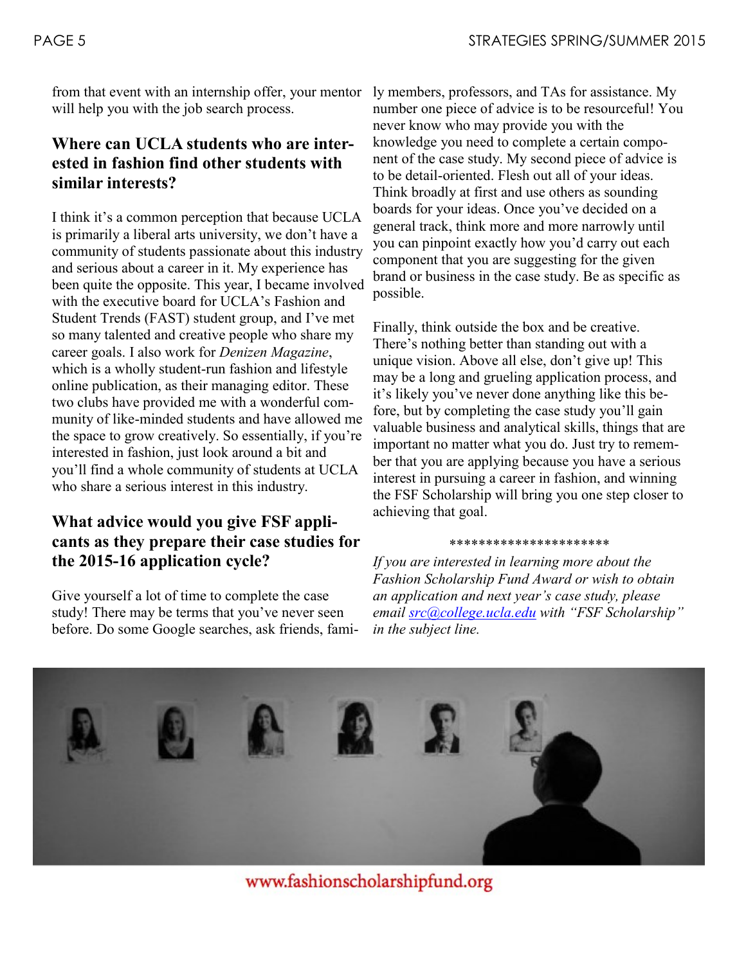from that event with an internship offer, your mentor will help you with the job search process.

### **Where can UCLA students who are interested in fashion find other students with similar interests?**

I think it's a common perception that because UCLA is primarily a liberal arts university, we don't have a community of students passionate about this industry and serious about a career in it. My experience has been quite the opposite. This year, I became involved with the executive board for UCLA's Fashion and Student Trends (FAST) student group, and I've met so many talented and creative people who share my career goals. I also work for *Denizen Magazine*, which is a wholly student-run fashion and lifestyle online publication, as their managing editor. These two clubs have provided me with a wonderful community of like-minded students and have allowed me the space to grow creatively. So essentially, if you're interested in fashion, just look around a bit and you'll find a whole community of students at UCLA who share a serious interest in this industry.

### **What advice would you give FSF applicants as they prepare their case studies for the 2015-16 application cycle?**

Give yourself a lot of time to complete the case study! There may be terms that you've never seen before. Do some Google searches, ask friends, family members, professors, and TAs for assistance. My number one piece of advice is to be resourceful! You never know who may provide you with the knowledge you need to complete a certain component of the case study. My second piece of advice is to be detail-oriented. Flesh out all of your ideas. Think broadly at first and use others as sounding boards for your ideas. Once you've decided on a general track, think more and more narrowly until you can pinpoint exactly how you'd carry out each component that you are suggesting for the given brand or business in the case study. Be as specific as possible.

Finally, think outside the box and be creative. There's nothing better than standing out with a unique vision. Above all else, don't give up! This may be a long and grueling application process, and it's likely you've never done anything like this before, but by completing the case study you'll gain valuable business and analytical skills, things that are important no matter what you do. Just try to remember that you are applying because you have a serious interest in pursuing a career in fashion, and winning the FSF Scholarship will bring you one step closer to achieving that goal.

#### \*\*\*\*\*\*\*\*\*\*\*\*\*\*\*\*\*\*\*\*\*\*

*If you are interested in learning more about the Fashion Scholarship Fund Award or wish to obtain an application and next year's case study, please email [src@college.ucla.edu](mailto:src@college.ucla.edu) with "FSF Scholarship" in the subject line.*



www.fashionscholarshipfund.org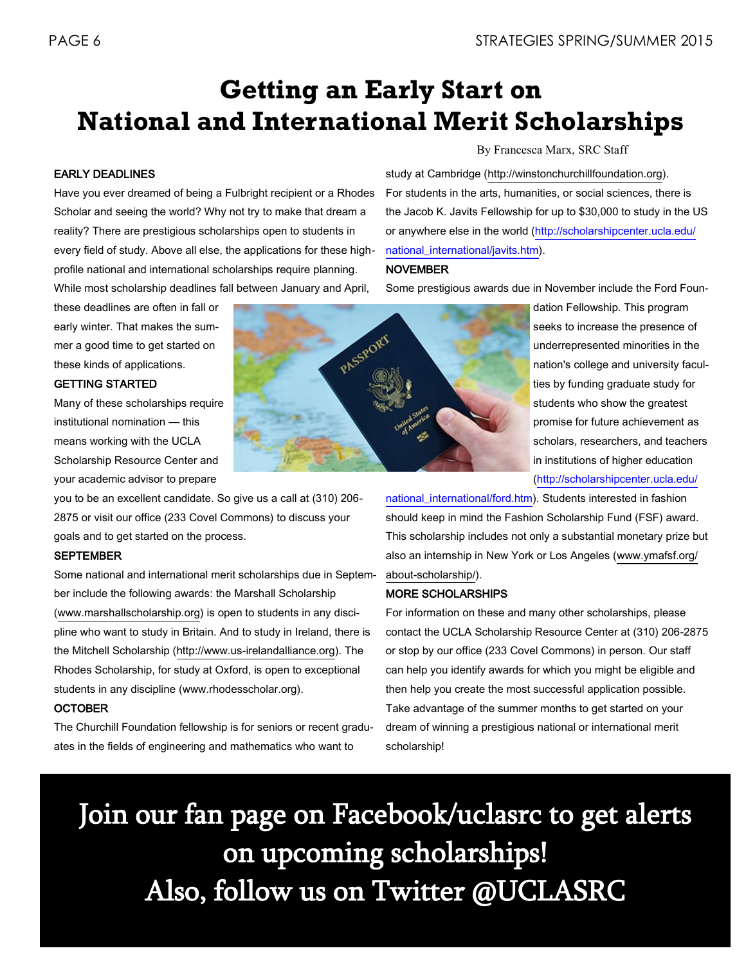# **Getting an Early Start on National and International Merit Scholarships**

#### EARLY DEADLINES

Have you ever dreamed of being a Fulbright recipient or a Rhodes Scholar and seeing the world? Why not try to make that dream a reality? There are prestigious scholarships open to students in every field of study. Above all else, the applications for these highprofile national and international scholarships require planning. While most scholarship deadlines fall between January and April,

these deadlines are often in fall or early winter. That makes the summer a good time to get started on these kinds of applications.

#### GETTING STARTED

Many of these scholarships require institutional nomination — this means working with the UCLA Scholarship Resource Center and your academic advisor to prepare

you to be an excellent candidate. So give us a call at (310) 206- 2875 or visit our office (233 Covel Commons) to discuss your goals and to get started on the process.

#### **SEPTEMBER**

Some national and international merit scholarships due in September include the following awards: the Marshall Scholarship [\(www.marshallscholarship.](http://www.ugeducation.ucla.edu/honors/marshall.html)org) is open to students in any discipline who want to study in Britain. And to study in Ireland, there is the Mitchell Scholarship (http://www.us-irelandalliance.org). The Rhodes Scholarship, for study at Oxford, is open to exceptional students in any discipline (www.rhodesscholar.org).

#### **OCTOBER**

The Churchill Foundation fellowship is for seniors or recent graduates in the fields of engineering and mathematics who want to

[national\\_international/ford.htm\)](http://scholarshipcenter.ucla.edu/national_international/ford.htm). Students interested in fashion should keep in mind the Fashion Scholarship Fund (FSF) award. This scholarship includes not only a substantial monetary prize but also an internship in New York or Los Angeles (www.ymafsf.org/ about-scholarship/).

#### MORE SCHOLARSHIPS

For information on these and many other scholarships, please contact the UCLA Scholarship Resource Center at (310) 206-2875 or stop by our office (233 Covel Commons) in person. Our staff can help you identify awards for which you might be eligible and then help you create the most successful application possible. Take advantage of the summer months to get started on your dream of winning a prestigious national or international merit scholarship!

Join our fan page on Facebook/uclasrc to get alerts on upcoming scholarships! Also, follow us on Twitter @UCLASRC



By Francesca Marx, SRC Staff

study at Cambridge (http://winstonchurchillfoundation.org). For students in the arts, humanities, or social sciences, there is the Jacob K. Javits Fellowship for up to \$30,000 to study in the US or anywhere else in the world [\(http://scholarshipcenter.ucla.edu/](http://scholarshipcenter.ucla.edu/national_international/javits.htm) [national\\_international/javits.htm\)](http://scholarshipcenter.ucla.edu/national_international/javits.htm).

#### NOVEMBER

Some prestigious awards due in November include the Ford Foun-

dation Fellowship. This program seeks to increase the presence of underrepresented minorities in the nation's college and university faculties by funding graduate study for students who show the greatest promise for future achievement as scholars, researchers, and teachers in institutions of higher education ([http://scholarshipcenter.ucla.edu/](http://scholarshipcenter.ucla.edu/national_international/ford.htm)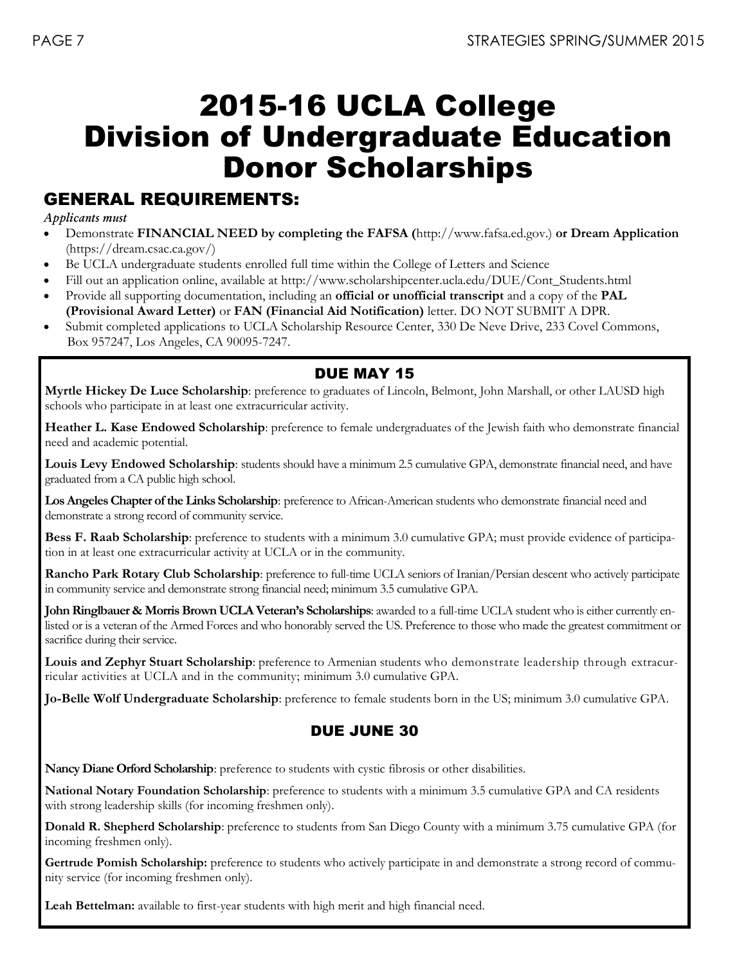# 2015-16 UCLA College Division of Undergraduate Education Donor Scholarships

### GENERAL REQUIREMENTS:

*Applicants must*

- Demonstrate **FINANCIAL NEED by completing the FAFSA (**http://www.fafsa.ed.gov.) **or Dream Application**  (https://dream.csac.ca.gov/)
- Be UCLA undergraduate students enrolled full time within the College of Letters and Science
- Fill out an application online, available at http://www.scholarshipcenter.ucla.edu/DUE/Cont\_Students.html
- Provide all supporting documentation, including an **official or unofficial transcript** and a copy of the **PAL (Provisional Award Letter)** or **FAN (Financial Aid Notification)** letter. DO NOT SUBMIT A DPR.
- Submit completed applications to UCLA Scholarship Resource Center, 330 De Neve Drive, 233 Covel Commons, Box 957247, Los Angeles, CA 90095-7247.

### DUE MAY 15

**Myrtle Hickey De Luce Scholarship**: preference to graduates of Lincoln, Belmont, John Marshall, or other LAUSD high schools who participate in at least one extracurricular activity.

**Heather L. Kase Endowed Scholarship**: preference to female undergraduates of the Jewish faith who demonstrate financial need and academic potential.

**Louis Levy Endowed Scholarship**: students should have a minimum 2.5 cumulative GPA, demonstrate financial need, and have graduated from a CA public high school.

**Los Angeles Chapter of the Links Scholarship**: preference to African-American students who demonstrate financial need and demonstrate a strong record of community service.

**Bess F. Raab Scholarship**: preference to students with a minimum 3.0 cumulative GPA; must provide evidence of participation in at least one extracurricular activity at UCLA or in the community.

**Rancho Park Rotary Club Scholarship**: preference to full-time UCLA seniors of Iranian/Persian descent who actively participate in community service and demonstrate strong financial need; minimum 3.5 cumulative GPA.

**John Ringlbauer & Morris Brown UCLA Veteran's Scholarships**: awarded to a full-time UCLA student who is either currently enlisted or is a veteran of the Armed Forces and who honorably served the US. Preference to those who made the greatest commitment or sacrifice during their service.

**Louis and Zephyr Stuart Scholarship**: preference to Armenian students who demonstrate leadership through extracurricular activities at UCLA and in the community; minimum 3.0 cumulative GPA.

**Jo-Belle Wolf Undergraduate Scholarship**: preference to female students born in the US; minimum 3.0 cumulative GPA.

### DUE JUNE 30

**Nancy Diane Orford Scholarship**: preference to students with cystic fibrosis or other disabilities.

**National Notary Foundation Scholarship**: preference to students with a minimum 3.5 cumulative GPA and CA residents with strong leadership skills (for incoming freshmen only).

**Donald R. Shepherd Scholarship**: preference to students from San Diego County with a minimum 3.75 cumulative GPA (for incoming freshmen only).

Gertrude Pomish Scholarship: preference to students who actively participate in and demonstrate a strong record of community service (for incoming freshmen only).

Leah Bettelman: available to first-year students with high merit and high financial need.